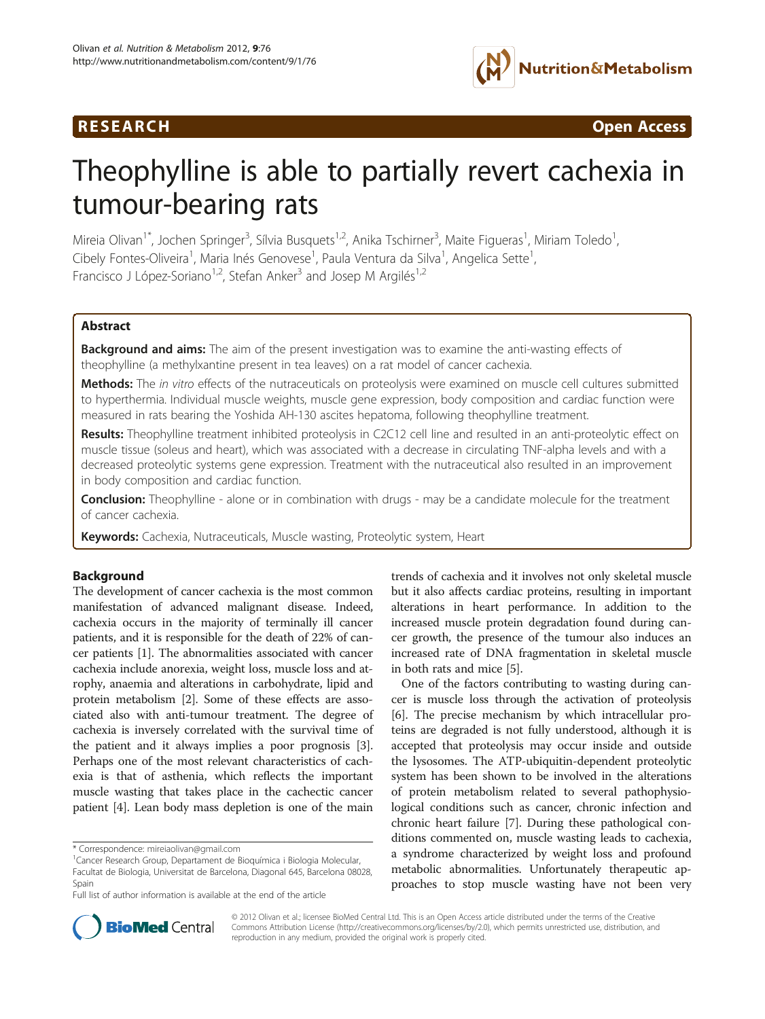# **RESEARCH CHINESEARCH CHINESEARCH CHINESE**



# Theophylline is able to partially revert cachexia in tumour-bearing rats

Mireia Olivan<sup>1\*</sup>, Jochen Springer<sup>3</sup>, Sílvia Busquets<sup>1,2</sup>, Anika Tschirner<sup>3</sup>, Maite Figueras<sup>1</sup>, Miriam Toledo<sup>1</sup> , Cibely Fontes-Oliveira<sup>1</sup>, Maria Inés Genovese<sup>1</sup>, Paula Ventura da Silva<sup>1</sup>, Angelica Sette<sup>1</sup> , Francisco J López-Soriano<sup>1,2</sup>, Stefan Anker<sup>3</sup> and Josep M Argilés<sup>1,2</sup>

# Abstract

**Background and aims:** The aim of the present investigation was to examine the anti-wasting effects of theophylline (a methylxantine present in tea leaves) on a rat model of cancer cachexia.

Methods: The in vitro effects of the nutraceuticals on proteolysis were examined on muscle cell cultures submitted to hyperthermia. Individual muscle weights, muscle gene expression, body composition and cardiac function were measured in rats bearing the Yoshida AH-130 ascites hepatoma, following theophylline treatment.

Results: Theophylline treatment inhibited proteolysis in C2C12 cell line and resulted in an anti-proteolytic effect on muscle tissue (soleus and heart), which was associated with a decrease in circulating TNF-alpha levels and with a decreased proteolytic systems gene expression. Treatment with the nutraceutical also resulted in an improvement in body composition and cardiac function.

**Conclusion:** Theophylline - alone or in combination with drugs - may be a candidate molecule for the treatment of cancer cachexia.

Keywords: Cachexia, Nutraceuticals, Muscle wasting, Proteolytic system, Heart

# Background

The development of cancer cachexia is the most common manifestation of advanced malignant disease. Indeed, cachexia occurs in the majority of terminally ill cancer patients, and it is responsible for the death of 22% of cancer patients [\[1\]](#page-6-0). The abnormalities associated with cancer cachexia include anorexia, weight loss, muscle loss and atrophy, anaemia and alterations in carbohydrate, lipid and protein metabolism [\[2](#page-6-0)]. Some of these effects are associated also with anti-tumour treatment. The degree of cachexia is inversely correlated with the survival time of the patient and it always implies a poor prognosis [[3](#page-6-0)]. Perhaps one of the most relevant characteristics of cachexia is that of asthenia, which reflects the important muscle wasting that takes place in the cachectic cancer patient [\[4\]](#page-6-0). Lean body mass depletion is one of the main

trends of cachexia and it involves not only skeletal muscle but it also affects cardiac proteins, resulting in important alterations in heart performance. In addition to the increased muscle protein degradation found during cancer growth, the presence of the tumour also induces an increased rate of DNA fragmentation in skeletal muscle in both rats and mice [\[5](#page-6-0)].

One of the factors contributing to wasting during cancer is muscle loss through the activation of proteolysis [[6\]](#page-6-0). The precise mechanism by which intracellular proteins are degraded is not fully understood, although it is accepted that proteolysis may occur inside and outside the lysosomes. The ATP-ubiquitin-dependent proteolytic system has been shown to be involved in the alterations of protein metabolism related to several pathophysiological conditions such as cancer, chronic infection and chronic heart failure [\[7](#page-6-0)]. During these pathological conditions commented on, muscle wasting leads to cachexia, a syndrome characterized by weight loss and profound metabolic abnormalities. Unfortunately therapeutic approaches to stop muscle wasting have not been very



© 2012 Olivan et al.; licensee BioMed Central Ltd. This is an Open Access article distributed under the terms of the Creative Commons Attribution License [\(http://creativecommons.org/licenses/by/2.0\)](http://creativecommons.org/licenses/by/2.0), which permits unrestricted use, distribution, and reproduction in any medium, provided the original work is properly cited.

<sup>\*</sup> Correspondence: [mireiaolivan@gmail.com](mailto:mireiaolivan@gmail.com) <sup>1</sup>

<sup>&</sup>lt;sup>1</sup> Cancer Research Group, Departament de Bioquímica i Biologia Molecular, Facultat de Biologia, Universitat de Barcelona, Diagonal 645, Barcelona 08028, Spain

Full list of author information is available at the end of the article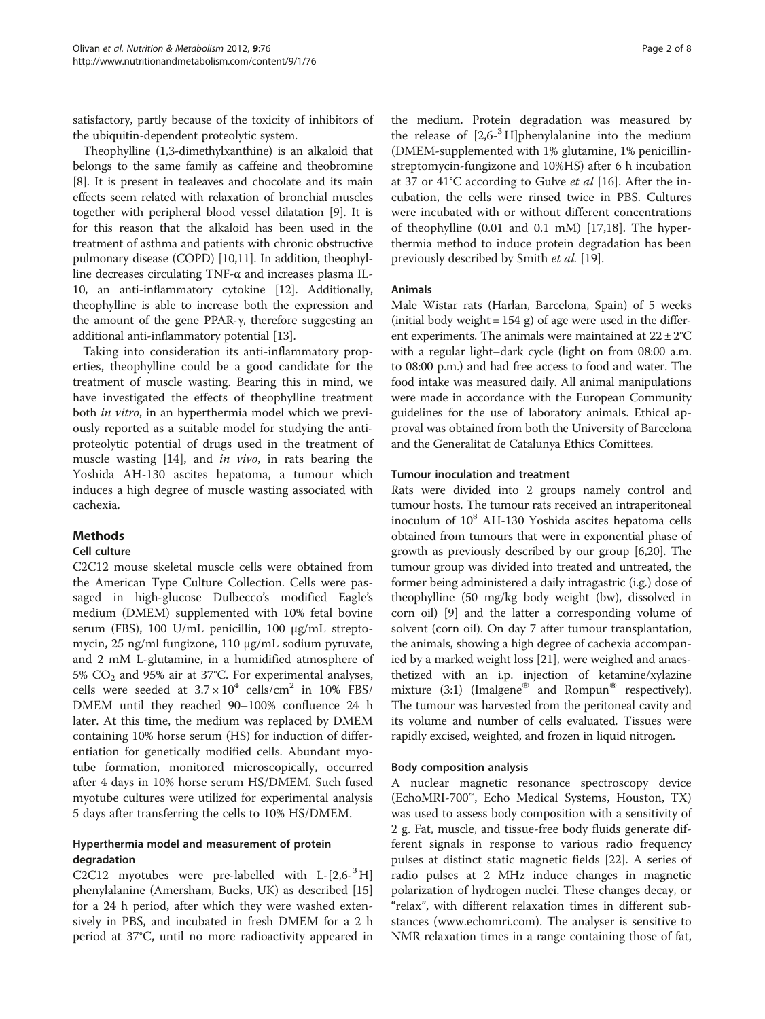satisfactory, partly because of the toxicity of inhibitors of the ubiquitin-dependent proteolytic system.

Theophylline (1,3-dimethylxanthine) is an alkaloid that belongs to the same family as caffeine and theobromine [[8\]](#page-6-0). It is present in tealeaves and chocolate and its main effects seem related with relaxation of bronchial muscles together with peripheral blood vessel dilatation [[9](#page-6-0)]. It is for this reason that the alkaloid has been used in the treatment of asthma and patients with chronic obstructive pulmonary disease (COPD) [\[10,11](#page-6-0)]. In addition, theophylline decreases circulating TNF-α and increases plasma IL-10, an anti-inflammatory cytokine [\[12\]](#page-6-0). Additionally, theophylline is able to increase both the expression and the amount of the gene PPAR-γ, therefore suggesting an additional anti-inflammatory potential [[13](#page-6-0)].

Taking into consideration its anti-inflammatory properties, theophylline could be a good candidate for the treatment of muscle wasting. Bearing this in mind, we have investigated the effects of theophylline treatment both *in vitro*, in an hyperthermia model which we previously reported as a suitable model for studying the antiproteolytic potential of drugs used in the treatment of muscle wasting [\[14\]](#page-6-0), and in vivo, in rats bearing the Yoshida AH-130 ascites hepatoma, a tumour which induces a high degree of muscle wasting associated with cachexia.

# Methods

# Cell culture

C2C12 mouse skeletal muscle cells were obtained from the American Type Culture Collection. Cells were passaged in high-glucose Dulbecco's modified Eagle's medium (DMEM) supplemented with 10% fetal bovine serum (FBS), 100 U/mL penicillin, 100 μg/mL streptomycin, 25 ng/ml fungizone, 110 μg/mL sodium pyruvate, and 2 mM L-glutamine, in a humidified atmosphere of 5%  $CO<sub>2</sub>$  and 95% air at 37°C. For experimental analyses, cells were seeded at  $3.7 \times 10^4$  cells/cm<sup>2</sup> in 10% FBS/ DMEM until they reached 90–100% confluence 24 h later. At this time, the medium was replaced by DMEM containing 10% horse serum (HS) for induction of differentiation for genetically modified cells. Abundant myotube formation, monitored microscopically, occurred after 4 days in 10% horse serum HS/DMEM. Such fused myotube cultures were utilized for experimental analysis 5 days after transferring the cells to 10% HS/DMEM.

# Hyperthermia model and measurement of protein degradation

C2C12 myotubes were pre-labelled with  $L-[2,6^{-3}]$  H] phenylalanine (Amersham, Bucks, UK) as described [[15](#page-6-0)] for a 24 h period, after which they were washed extensively in PBS, and incubated in fresh DMEM for a 2 h period at 37°C, until no more radioactivity appeared in

the medium. Protein degradation was measured by the release of  $[2,6^{-3}]$ H phenylalanine into the medium (DMEM-supplemented with 1% glutamine, 1% penicillinstreptomycin-fungizone and 10%HS) after 6 h incubation at 37 or 41°C according to Gulve *et al* [[16](#page-6-0)]. After the incubation, the cells were rinsed twice in PBS. Cultures were incubated with or without different concentrations of theophylline (0.01 and 0.1 mM) [\[17,18\]](#page-6-0). The hyperthermia method to induce protein degradation has been previously described by Smith et al. [\[19](#page-6-0)].

#### Animals

Male Wistar rats (Harlan, Barcelona, Spain) of 5 weeks (initial body weight =  $154$  g) of age were used in the different experiments. The animals were maintained at  $22 \pm 2^{\circ}C$ with a regular light–dark cycle (light on from 08:00 a.m. to 08:00 p.m.) and had free access to food and water. The food intake was measured daily. All animal manipulations were made in accordance with the European Community guidelines for the use of laboratory animals. Ethical approval was obtained from both the University of Barcelona and the Generalitat de Catalunya Ethics Comittees.

#### Tumour inoculation and treatment

Rats were divided into 2 groups namely control and tumour hosts. The tumour rats received an intraperitoneal inoculum of  $10^8$  AH-130 Yoshida ascites hepatoma cells obtained from tumours that were in exponential phase of growth as previously described by our group [\[6,20\]](#page-6-0). The tumour group was divided into treated and untreated, the former being administered a daily intragastric (i.g.) dose of theophylline (50 mg/kg body weight (bw), dissolved in corn oil) [[9\]](#page-6-0) and the latter a corresponding volume of solvent (corn oil). On day 7 after tumour transplantation, the animals, showing a high degree of cachexia accompanied by a marked weight loss [\[21\]](#page-6-0), were weighed and anaesthetized with an i.p. injection of ketamine/xylazine mixture (3:1) (Imalgene<sup>®</sup> and Rompun<sup>®</sup> respectively). The tumour was harvested from the peritoneal cavity and its volume and number of cells evaluated. Tissues were rapidly excised, weighted, and frozen in liquid nitrogen.

#### Body composition analysis

A nuclear magnetic resonance spectroscopy device (EchoMRI-700™, Echo Medical Systems, Houston, TX) was used to assess body composition with a sensitivity of 2 g. Fat, muscle, and tissue-free body fluids generate different signals in response to various radio frequency pulses at distinct static magnetic fields [\[22\]](#page-6-0). A series of radio pulses at 2 MHz induce changes in magnetic polarization of hydrogen nuclei. These changes decay, or "relax", with different relaxation times in different substances ([www.echomri.com](http://www.echomri.com)). The analyser is sensitive to NMR relaxation times in a range containing those of fat,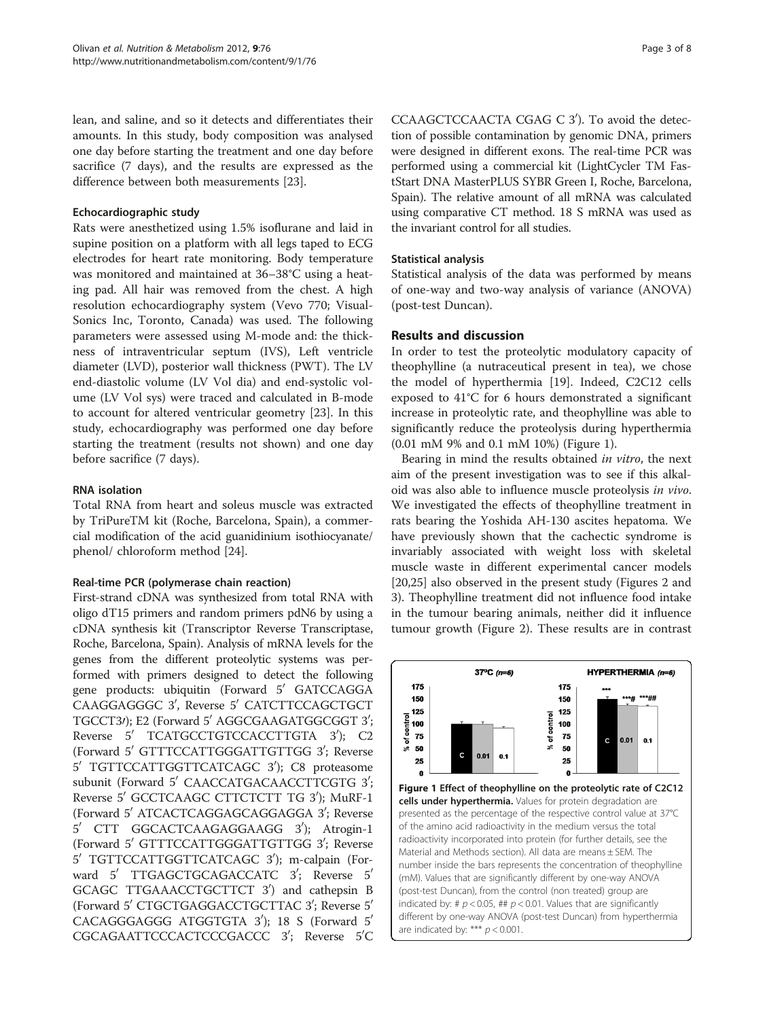lean, and saline, and so it detects and differentiates their amounts. In this study, body composition was analysed one day before starting the treatment and one day before sacrifice (7 days), and the results are expressed as the difference between both measurements [[23](#page-6-0)].

### Echocardiographic study

Rats were anesthetized using 1.5% isoflurane and laid in supine position on a platform with all legs taped to ECG electrodes for heart rate monitoring. Body temperature was monitored and maintained at 36–38°C using a heating pad. All hair was removed from the chest. A high resolution echocardiography system (Vevo 770; Visual-Sonics Inc, Toronto, Canada) was used. The following parameters were assessed using M-mode and: the thickness of intraventricular septum (IVS), Left ventricle diameter (LVD), posterior wall thickness (PWT). The LV end-diastolic volume (LV Vol dia) and end-systolic volume (LV Vol sys) were traced and calculated in B-mode to account for altered ventricular geometry [\[23](#page-6-0)]. In this study, echocardiography was performed one day before starting the treatment (results not shown) and one day before sacrifice (7 days).

#### RNA isolation

Total RNA from heart and soleus muscle was extracted by TriPureTM kit (Roche, Barcelona, Spain), a commercial modification of the acid guanidinium isothiocyanate/ phenol/ chloroform method [[24](#page-6-0)].

#### Real-time PCR (polymerase chain reaction)

First-strand cDNA was synthesized from total RNA with oligo dT15 primers and random primers pdN6 by using a cDNA synthesis kit (Transcriptor Reverse Transcriptase, Roche, Barcelona, Spain). Analysis of mRNA levels for the genes from the different proteolytic systems was performed with primers designed to detect the following gene products: ubiquitin (Forward 5' GATCCAGGA CAAGGAGGGC 3', Reverse 5' CATCTTCCAGCTGCT TGCCT3<sup>'</sup>); E2 (Forward 5' AGGCGAAGATGGCGGT 3'; Reverse 5' TCATGCCTGTCCACCTTGTA 3'); C2 (Forward 5' GTTTCCATTGGGATTGTTGG 3'; Reverse 5' TGTTCCATTGGTTCATCAGC 3'); C8 proteasome subunit (Forward 5' CAACCATGACAACCTTCGTG 3'; Reverse 5' GCCTCAAGC CTTCTCTT TG 3'); MuRF-1 (Forward 5' ATCACTCAGGAGCAGGAGGA 3'; Reverse 5' CTT GGCACTCAAGAGGAAGG 3'); Atrogin-1 (Forward 5' GTTTCCATTGGGATTGTTGG 3'; Reverse 5′ TGTTCCATTGGTTCATCAGC 3′); m-calpain (Forward 5' TTGAGCTGCAGACCATC 3'; Reverse 5' GCAGC TTGAAACCTGCTTCT 3') and cathepsin B (Forward 5' CTGCTGAGGACCTGCTTAC 3'; Reverse 5' CACAGGGAGGG ATGGTGTA 3'); 18 S (Forward 5' CGCAGAATTCCCACTCCCGACCC 3'; Reverse 5'C

CCAAGCTCCAACTA CGAG C 3'). To avoid the detection of possible contamination by genomic DNA, primers were designed in different exons. The real-time PCR was performed using a commercial kit (LightCycler TM FastStart DNA MasterPLUS SYBR Green I, Roche, Barcelona, Spain). The relative amount of all mRNA was calculated using comparative CT method. 18 S mRNA was used as the invariant control for all studies.

#### Statistical analysis

Statistical analysis of the data was performed by means of one-way and two-way analysis of variance (ANOVA) (post-test Duncan).

#### Results and discussion

In order to test the proteolytic modulatory capacity of theophylline (a nutraceutical present in tea), we chose the model of hyperthermia [\[19\]](#page-6-0). Indeed, C2C12 cells exposed to 41°C for 6 hours demonstrated a significant increase in proteolytic rate, and theophylline was able to significantly reduce the proteolysis during hyperthermia (0.01 mM 9% and 0.1 mM 10%) (Figure 1).

Bearing in mind the results obtained in vitro, the next aim of the present investigation was to see if this alkaloid was also able to influence muscle proteolysis in vivo. We investigated the effects of theophylline treatment in rats bearing the Yoshida AH-130 ascites hepatoma. We have previously shown that the cachectic syndrome is invariably associated with weight loss with skeletal muscle waste in different experimental cancer models [[20,25\]](#page-6-0) also observed in the present study (Figures [2](#page-3-0) and [3\)](#page-3-0). Theophylline treatment did not influence food intake in the tumour bearing animals, neither did it influence tumour growth (Figure [2\)](#page-3-0). These results are in contrast

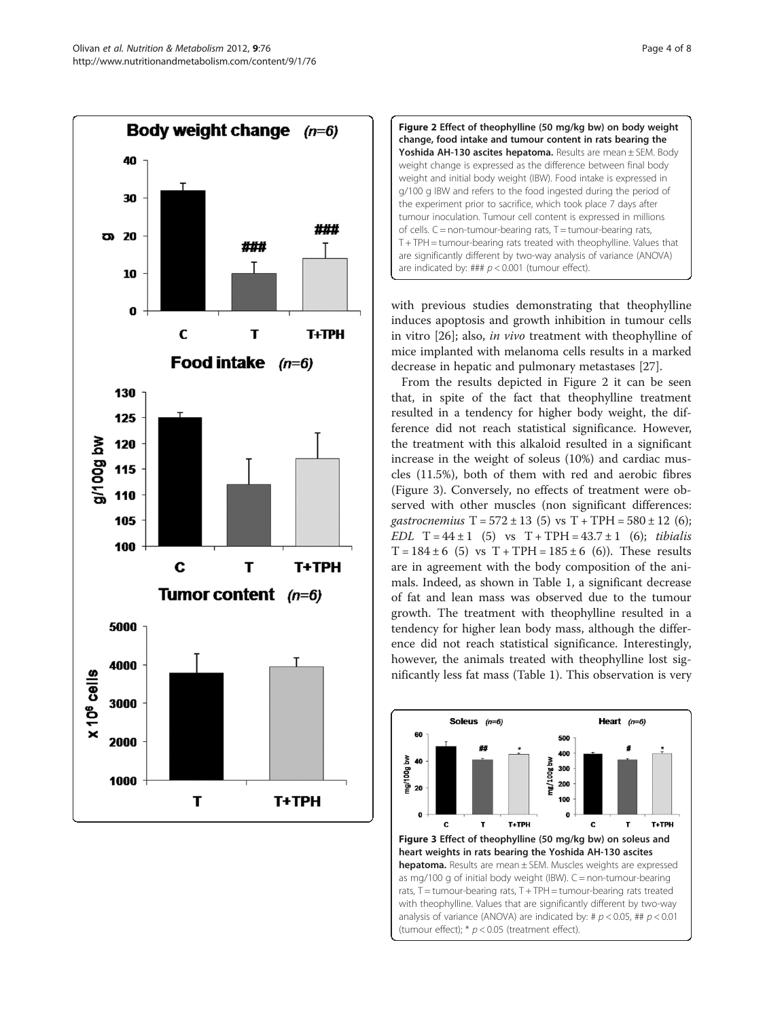<span id="page-3-0"></span>

Figure 2 Effect of theophylline (50 mg/kg bw) on body weight change, food intake and tumour content in rats bearing the Yoshida AH-130 ascites hepatoma. Results are mean ± SEM. Body weight change is expressed as the difference between final body weight and initial body weight (IBW). Food intake is expressed in g/100 g IBW and refers to the food ingested during the period of the experiment prior to sacrifice, which took place 7 days after tumour inoculation. Tumour cell content is expressed in millions of cells.  $C = non-tumour-bearing rats, T = tumour-bearing rats,$ T + TPH = tumour-bearing rats treated with theophylline. Values that are significantly different by two-way analysis of variance (ANOVA) are indicated by:  $\# \# p < 0.001$  (tumour effect).

with previous studies demonstrating that theophylline induces apoptosis and growth inhibition in tumour cells in vitro [[26](#page-6-0)]; also, in vivo treatment with theophylline of mice implanted with melanoma cells results in a marked decrease in hepatic and pulmonary metastases [[27\]](#page-6-0).

From the results depicted in Figure 2 it can be seen that, in spite of the fact that theophylline treatment resulted in a tendency for higher body weight, the difference did not reach statistical significance. However, the treatment with this alkaloid resulted in a significant increase in the weight of soleus (10%) and cardiac muscles (11.5%), both of them with red and aerobic fibres (Figure 3). Conversely, no effects of treatment were observed with other muscles (non significant differences: gastrocnemius T =  $572 \pm 13$  (5) vs T + TPH =  $580 \pm 12$  (6); EDL  $T = 44 \pm 1$  (5) vs  $T + TPH = 43.7 \pm 1$  (6); tibialis  $T = 184 \pm 6$  (5) vs  $T + TPH = 185 \pm 6$  (6)). These results are in agreement with the body composition of the animals. Indeed, as shown in Table [1](#page-4-0), a significant decrease of fat and lean mass was observed due to the tumour growth. The treatment with theophylline resulted in a tendency for higher lean body mass, although the difference did not reach statistical significance. Interestingly, however, the animals treated with theophylline lost significantly less fat mass (Table [1\)](#page-4-0). This observation is very

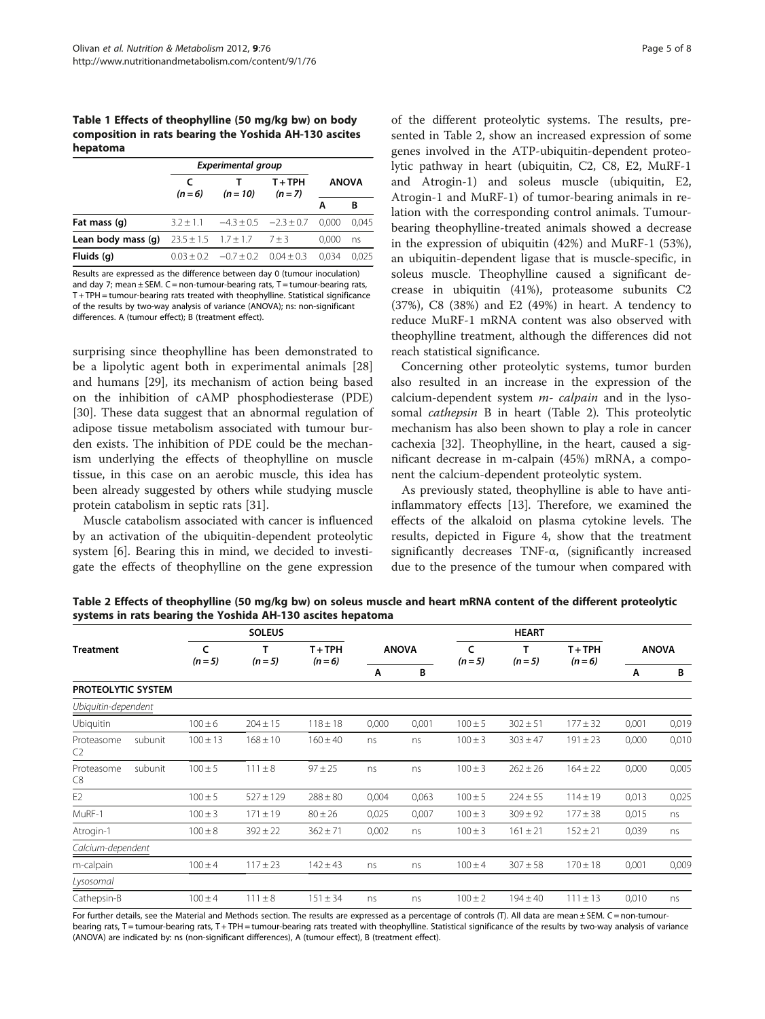<span id="page-4-0"></span>Table 1 Effects of theophylline (50 mg/kg bw) on body composition in rats bearing the Yoshida AH-130 ascites hepatoma

|                    | Experimental group           |                                              |                               |              |       |  |
|--------------------|------------------------------|----------------------------------------------|-------------------------------|--------------|-------|--|
|                    | $(n = 6)$                    | $(n = 10)$                                   | $T+TPH$<br>$(n=7)$            | <b>ANOVA</b> |       |  |
|                    |                              |                                              |                               |              | в     |  |
| Fat mass (q)       | $3.2 + 1.1$                  |                                              | $-4.3 \pm 0.5$ $-2.3 \pm 0.7$ | 0.000        | 0.045 |  |
| Lean body mass (g) | $23.5 \pm 1.5$ $1.7 \pm 1.7$ |                                              | $7 \pm 3$                     | 0.000        | ns    |  |
| Fluids (q)         |                              | $0.03 \pm 0.2$ $-0.7 \pm 0.2$ $0.04 \pm 0.3$ |                               | 0.034        | 0.025 |  |

Results are expressed as the difference between day 0 (tumour inoculation) and day 7; mean  $\pm$  SEM. C = non-tumour-bearing rats, T = tumour-bearing rats, T + TPH = tumour-bearing rats treated with theophylline. Statistical significance of the results by two-way analysis of variance (ANOVA); ns: non-significant differences. A (tumour effect); B (treatment effect).

surprising since theophylline has been demonstrated to be a lipolytic agent both in experimental animals [[28](#page-6-0)] and humans [[29\]](#page-6-0), its mechanism of action being based on the inhibition of cAMP phosphodiesterase (PDE) [[30\]](#page-6-0). These data suggest that an abnormal regulation of adipose tissue metabolism associated with tumour burden exists. The inhibition of PDE could be the mechanism underlying the effects of theophylline on muscle tissue, in this case on an aerobic muscle, this idea has been already suggested by others while studying muscle protein catabolism in septic rats [\[31](#page-6-0)].

Muscle catabolism associated with cancer is influenced by an activation of the ubiquitin-dependent proteolytic system [\[6](#page-6-0)]. Bearing this in mind, we decided to investigate the effects of theophylline on the gene expression of the different proteolytic systems. The results, presented in Table 2, show an increased expression of some genes involved in the ATP-ubiquitin-dependent proteolytic pathway in heart (ubiquitin, C2, C8, E2, MuRF-1 and Atrogin-1) and soleus muscle (ubiquitin, E2, Atrogin-1 and MuRF-1) of tumor-bearing animals in relation with the corresponding control animals. Tumourbearing theophylline-treated animals showed a decrease in the expression of ubiquitin (42%) and MuRF-1 (53%), an ubiquitin-dependent ligase that is muscle-specific, in soleus muscle. Theophylline caused a significant decrease in ubiquitin (41%), proteasome subunits C2 (37%), C8 (38%) and E2 (49%) in heart. A tendency to reduce MuRF-1 mRNA content was also observed with theophylline treatment, although the differences did not reach statistical significance.

Concerning other proteolytic systems, tumor burden also resulted in an increase in the expression of the calcium-dependent system  $m$ - calpain and in the lysosomal *cathepsin* B in heart (Table 2). This proteolytic mechanism has also been shown to play a role in cancer cachexia [[32\]](#page-6-0). Theophylline, in the heart, caused a significant decrease in m-calpain (45%) mRNA, a component the calcium-dependent proteolytic system.

As previously stated, theophylline is able to have antiinflammatory effects [\[13](#page-6-0)]. Therefore, we examined the effects of the alkaloid on plasma cytokine levels. The results, depicted in Figure [4,](#page-5-0) show that the treatment significantly decreases TNF-α, (significantly increased due to the presence of the tumour when compared with

|                              |                         |                | <b>SOLEUS</b>          |              |       |                         |              | <b>HEART</b>           |              |       |       |
|------------------------------|-------------------------|----------------|------------------------|--------------|-------|-------------------------|--------------|------------------------|--------------|-------|-------|
| <b>Treatment</b>             | $\mathsf{C}$<br>$(n=5)$ | т<br>$(n = 5)$ | $T + TPH$<br>$(n = 6)$ | <b>ANOVA</b> |       | $\mathsf{C}$<br>$(n=5)$ | т<br>$(n=5)$ | $T + TPH$<br>$(n = 6)$ | <b>ANOVA</b> |       |       |
|                              |                         |                |                        |              | A     | В                       |              |                        |              | A     | В     |
| PROTEOLYTIC SYSTEM           |                         |                |                        |              |       |                         |              |                        |              |       |       |
| Ubiquitin-dependent          |                         |                |                        |              |       |                         |              |                        |              |       |       |
| Ubiquitin                    |                         | $100 \pm 6$    | $204 \pm 15$           | $118 \pm 18$ | 0,000 | 0,001                   | $100 \pm 5$  | $302 \pm 51$           | $177 \pm 32$ | 0,001 | 0,019 |
| Proteasome<br>C <sub>2</sub> | subunit                 | $100 \pm 13$   | $168 \pm 10$           | $160 \pm 40$ | ns    | ns                      | $100 \pm 3$  | $303 \pm 47$           | $191 \pm 23$ | 0,000 | 0,010 |
| Proteasome<br>C8             | subunit                 | $100 \pm 5$    | $111 \pm 8$            | $97 \pm 25$  | ns    | ns                      | $100 \pm 3$  | $262 \pm 26$           | $164 \pm 22$ | 0,000 | 0,005 |
| E <sub>2</sub>               |                         | $100 \pm 5$    | $527 \pm 129$          | $288 \pm 80$ | 0,004 | 0,063                   | $100 \pm 5$  | $224 \pm 55$           | $114 \pm 19$ | 0,013 | 0,025 |
| MuRF-1                       |                         | $100 \pm 3$    | $171 \pm 19$           | $80 \pm 26$  | 0,025 | 0,007                   | $100 \pm 3$  | $309 \pm 92$           | $177 \pm 38$ | 0,015 | ns    |
| Atrogin-1                    |                         | $100 \pm 8$    | $392 \pm 22$           | $362 \pm 71$ | 0,002 | ns                      | $100 \pm 3$  | $161 \pm 21$           | $152 \pm 21$ | 0,039 | ns    |
| Calcium-dependent            |                         |                |                        |              |       |                         |              |                        |              |       |       |
| m-calpain                    |                         | $100 \pm 4$    | $117 \pm 23$           | $142 \pm 43$ | ns    | ns                      | $100 \pm 4$  | $307 \pm 58$           | $170 \pm 18$ | 0,001 | 0,009 |
| Lysosomal                    |                         |                |                        |              |       |                         |              |                        |              |       |       |
| Cathepsin-B                  |                         | $100 \pm 4$    | $111 \pm 8$            | $151 \pm 34$ | ns    | ns                      | $100 \pm 2$  | $194 \pm 40$           | $111 \pm 13$ | 0,010 | ns    |

Table 2 Effects of theophylline (50 mg/kg bw) on soleus muscle and heart mRNA content of the different proteolytic systems in rats bearing the Yoshida AH-130 ascites hepatoma

For further details, see the Material and Methods section. The results are expressed as a percentage of controls (T). All data are mean ± SEM. C = non-tumourbearing rats, T=tumour-bearing rats, T+TPH=tumour-bearing rats treated with theophylline. Statistical significance of the results by two-way analysis of variance (ANOVA) are indicated by: ns (non-significant differences), A (tumour effect), B (treatment effect).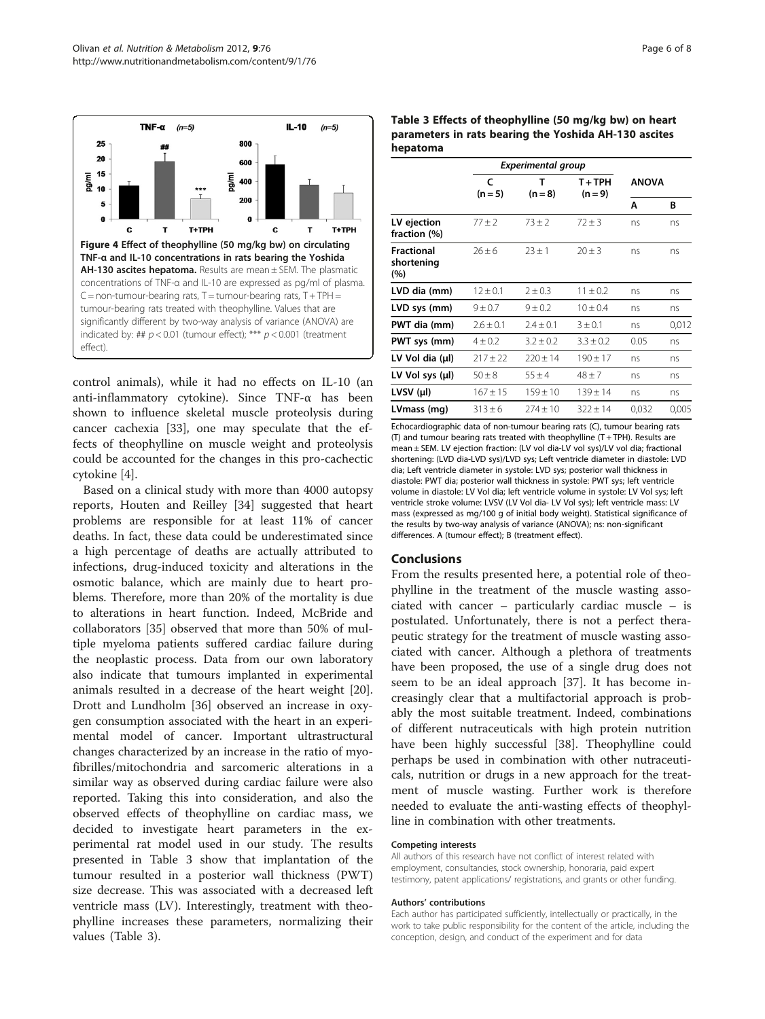<span id="page-5-0"></span>

control animals), while it had no effects on IL-10 (an anti-inflammatory cytokine). Since TNF-α has been shown to influence skeletal muscle proteolysis during cancer cachexia [\[33](#page-6-0)], one may speculate that the effects of theophylline on muscle weight and proteolysis could be accounted for the changes in this pro-cachectic cytokine [[4\]](#page-6-0).

Based on a clinical study with more than 4000 autopsy reports, Houten and Reilley [\[34](#page-6-0)] suggested that heart problems are responsible for at least 11% of cancer deaths. In fact, these data could be underestimated since a high percentage of deaths are actually attributed to infections, drug-induced toxicity and alterations in the osmotic balance, which are mainly due to heart problems. Therefore, more than 20% of the mortality is due to alterations in heart function. Indeed, McBride and collaborators [\[35](#page-6-0)] observed that more than 50% of multiple myeloma patients suffered cardiac failure during the neoplastic process. Data from our own laboratory also indicate that tumours implanted in experimental animals resulted in a decrease of the heart weight [\[20](#page-6-0)]. Drott and Lundholm [[36\]](#page-6-0) observed an increase in oxygen consumption associated with the heart in an experimental model of cancer. Important ultrastructural changes characterized by an increase in the ratio of myofibrilles/mitochondria and sarcomeric alterations in a similar way as observed during cardiac failure were also reported. Taking this into consideration, and also the observed effects of theophylline on cardiac mass, we decided to investigate heart parameters in the experimental rat model used in our study. The results presented in Table 3 show that implantation of the tumour resulted in a posterior wall thickness (PWT) size decrease. This was associated with a decreased left ventricle mass (LV). Interestingly, treatment with theophylline increases these parameters, normalizing their values (Table 3).

| Table 3 Effects of theophylline (50 mg/kg bw) on heart |
|--------------------------------------------------------|
| parameters in rats bearing the Yoshida AH-130 ascites  |
| hepatoma                                               |

|                                            | <b>Experimental group</b> |                |                        |              |       |  |
|--------------------------------------------|---------------------------|----------------|------------------------|--------------|-------|--|
|                                            | c<br>$(n=5)$              | т<br>$(n = 8)$ | $T + TPH$<br>$(n = 9)$ | <b>ANOVA</b> |       |  |
|                                            |                           |                |                        | Α            | В     |  |
| LV ejection<br>fraction (%)                | $77 + 2$                  | $73 \pm 2$     | $72 \pm 3$             | ns           | ns    |  |
| <b>Fractional</b><br>shortening<br>$(\% )$ | $26 + 6$                  | $23 \pm 1$     | $20 \pm 3$             | ns           | ns    |  |
| LVD dia (mm)                               | $12 \pm 0.1$              | $2 \pm 0.3$    | $11 \pm 0.2$           | ns           | ns    |  |
| LVD sys (mm)                               | $9 + 0.7$                 | $9 + 0.2$      | $10 + 0.4$             | ns           | ns    |  |
| PWT dia (mm)                               | $2.6 \pm 0.1$             | $2.4 \pm 0.1$  | $3 + 0.1$              | ns           | 0,012 |  |
| PWT sys (mm)                               | $4 \pm 0.2$               | $3.2 \pm 0.2$  | $3.3 + 0.2$            | 0.05         | ns    |  |
| LV Vol dia (µl)                            | $217 \pm 22$              | $220 + 14$     | $190 \pm 17$           | ns           | ns    |  |
| LV Vol sys (µl)                            | $50 \pm 8$                | $55 \pm 4$     | $48 + 7$               | ns           | ns    |  |
| $LVSV$ ( $\mu$ I)                          | $167 \pm 15$              | $159 \pm 10$   | $139 + 14$             | ns           | ns    |  |
| LVmass (mg)                                | $313 \pm 6$               | $274 + 10$     | $322 \pm 14$           | 0,032        | 0,005 |  |

Echocardiographic data of non-tumour bearing rats (C), tumour bearing rats (T) and tumour bearing rats treated with theophylline (T + TPH). Results are mean ± SEM. LV ejection fraction: (LV vol dia-LV vol sys)/LV vol dia; fractional shortening: (LVD dia-LVD sys)/LVD sys; Left ventricle diameter in diastole: LVD dia; Left ventricle diameter in systole: LVD sys; posterior wall thickness in diastole: PWT dia; posterior wall thickness in systole: PWT sys; left ventricle volume in diastole: LV Vol dia; left ventricle volume in systole: LV Vol sys; left ventricle stroke volume: LVSV (LV Vol dia- LV Vol sys); left ventricle mass: LV mass (expressed as mg/100 g of initial body weight). Statistical significance of the results by two-way analysis of variance (ANOVA); ns: non-significant differences. A (tumour effect); B (treatment effect).

#### Conclusions

From the results presented here, a potential role of theophylline in the treatment of the muscle wasting associated with cancer – particularly cardiac muscle – is postulated. Unfortunately, there is not a perfect therapeutic strategy for the treatment of muscle wasting associated with cancer. Although a plethora of treatments have been proposed, the use of a single drug does not seem to be an ideal approach [\[37](#page-7-0)]. It has become increasingly clear that a multifactorial approach is probably the most suitable treatment. Indeed, combinations of different nutraceuticals with high protein nutrition have been highly successful [\[38\]](#page-7-0). Theophylline could perhaps be used in combination with other nutraceuticals, nutrition or drugs in a new approach for the treatment of muscle wasting. Further work is therefore needed to evaluate the anti-wasting effects of theophylline in combination with other treatments.

#### Competing interests

All authors of this research have not conflict of interest related with employment, consultancies, stock ownership, honoraria, paid expert testimony, patent applications/ registrations, and grants or other funding.

#### Authors' contributions

Each author has participated sufficiently, intellectually or practically, in the work to take public responsibility for the content of the article, including the conception, design, and conduct of the experiment and for data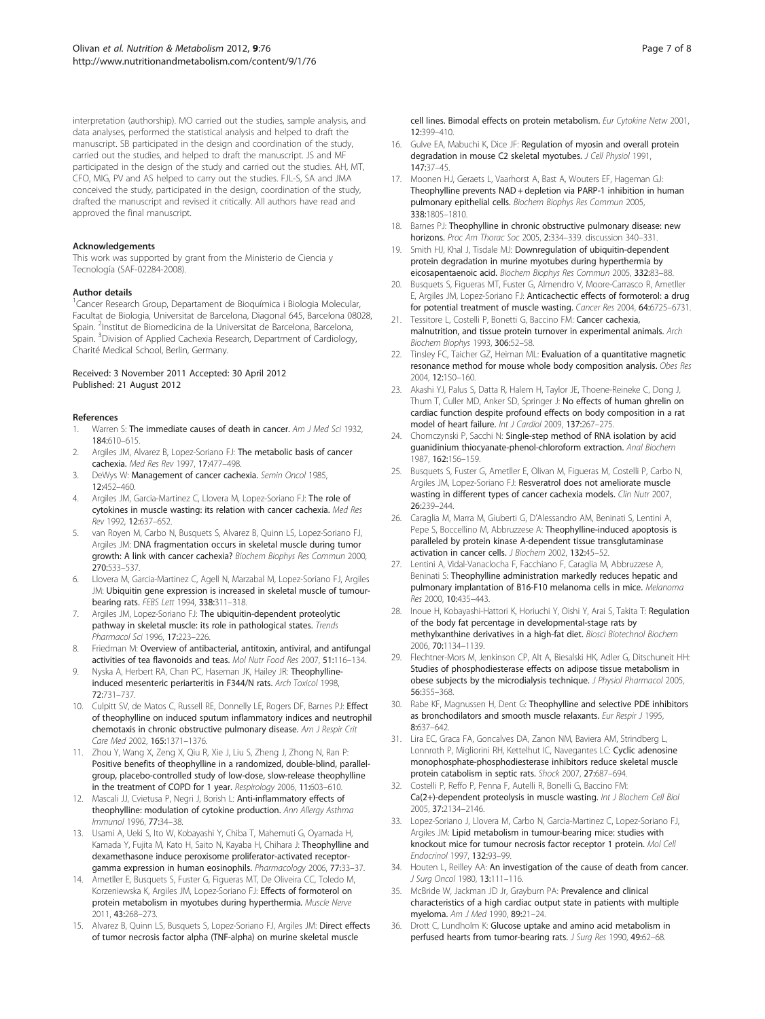<span id="page-6-0"></span>interpretation (authorship). MO carried out the studies, sample analysis, and data analyses, performed the statistical analysis and helped to draft the manuscript. SB participated in the design and coordination of the study, carried out the studies, and helped to draft the manuscript. JS and MF participated in the design of the study and carried out the studies. AH, MT, CFO, MIG, PV and AS helped to carry out the studies. FJL-S, SA and JMA conceived the study, participated in the design, coordination of the study, drafted the manuscript and revised it critically. All authors have read and approved the final manuscript.

#### Acknowledgements

This work was supported by grant from the Ministerio de Ciencia y Tecnología (SAF-02284-2008).

#### Author details

<sup>1</sup> Cancer Research Group, Departament de Bioquímica i Biologia Molecular, Facultat de Biologia, Universitat de Barcelona, Diagonal 645, Barcelona 08028, Spain. <sup>2</sup>Institut de Biomedicina de la Universitat de Barcelona, Barcelona, Spain. <sup>3</sup>Division of Applied Cachexia Research, Department of Cardiology, Charité Medical School, Berlin, Germany.

#### Received: 3 November 2011 Accepted: 30 April 2012 Published: 21 August 2012

#### References

- 1. Warren S: The immediate causes of death in cancer. Am J Med Sci 1932, 184:610–615.
- Argiles JM, Alvarez B, Lopez-Soriano FJ: The metabolic basis of cancer cachexia. Med Res Rev 1997, 17:477–498.
- 3. DeWys W: Management of cancer cachexia. Semin Oncol 1985, 12:452–460.
- 4. Argiles JM, Garcia-Martinez C, Llovera M, Lopez-Soriano FJ: The role of cytokines in muscle wasting: its relation with cancer cachexia. Med Res Rev 1992, 12:637–652.
- van Royen M, Carbo N, Busquets S, Alvarez B, Quinn LS, Lopez-Soriano FJ, Argiles JM: DNA fragmentation occurs in skeletal muscle during tumor growth: A link with cancer cachexia? Biochem Biophys Res Commun 2000, 270:533–537.
- 6. Llovera M, Garcia-Martinez C, Agell N, Marzabal M, Lopez-Soriano FJ, Argiles JM: Ubiquitin gene expression is increased in skeletal muscle of tumourbearing rats. FEBS Lett 1994, 338:311–318.
- 7. Argiles JM, Lopez-Soriano FJ: The ubiquitin-dependent proteolytic pathway in skeletal muscle: its role in pathological states. Trends Pharmacol Sci 1996, 17:223–226.
- 8. Friedman M: Overview of antibacterial, antitoxin, antiviral, and antifungal activities of tea flavonoids and teas. Mol Nutr Food Res 2007, 51:116–134.
- Nyska A, Herbert RA, Chan PC, Haseman JK, Hailey JR: Theophyllineinduced mesenteric periarteritis in F344/N rats. Arch Toxicol 1998, 72:731–737.
- 10. Culpitt SV, de Matos C, Russell RE, Donnelly LE, Rogers DF, Barnes PJ: Effect of theophylline on induced sputum inflammatory indices and neutrophil chemotaxis in chronic obstructive pulmonary disease. Am J Respir Crit Care Med 2002, 165:1371–1376.
- 11. Zhou Y, Wang X, Zeng X, Qiu R, Xie J, Liu S, Zheng J, Zhong N, Ran P: Positive benefits of theophylline in a randomized, double-blind, parallelgroup, placebo-controlled study of low-dose, slow-release theophylline in the treatment of COPD for 1 year. Respirology 2006, 11:603–610.
- 12. Mascali JJ, Cvietusa P, Negri J, Borish L: Anti-inflammatory effects of theophylline: modulation of cytokine production. Ann Allergy Asthma Immunol 1996, 77:34–38.
- 13. Usami A, Ueki S, Ito W, Kobayashi Y, Chiba T, Mahemuti G, Oyamada H, Kamada Y, Fujita M, Kato H, Saito N, Kayaba H, Chihara J: Theophylline and dexamethasone induce peroxisome proliferator-activated receptorgamma expression in human eosinophils. Pharmacology 2006, 77:33–37.
- 14. Ametller E, Busquets S, Fuster G, Figueras MT, De Oliveira CC, Toledo M, Korzeniewska K, Argiles JM, Lopez-Soriano FJ: Effects of formoterol on protein metabolism in myotubes during hyperthermia. Muscle Nerve 2011, 43:268–273.
- 15. Alvarez B, Quinn LS, Busquets S, Lopez-Soriano FJ, Argiles JM: Direct effects of tumor necrosis factor alpha (TNF-alpha) on murine skeletal muscle

cell lines. Bimodal effects on protein metabolism. Eur Cytokine Netw 2001, 12:399–410.

- 16. Gulve EA, Mabuchi K, Dice JF: Regulation of myosin and overall protein degradation in mouse C2 skeletal myotubes. J Cell Physiol 1991, 147:37–45.
- 17. Moonen HJ, Geraets L, Vaarhorst A, Bast A, Wouters EF, Hageman GJ: Theophylline prevents NAD + depletion via PARP-1 inhibition in human pulmonary epithelial cells. Biochem Biophys Res Commun 2005, 338:1805–1810.
- 18. Barnes PJ: Theophylline in chronic obstructive pulmonary disease: new horizons. Proc Am Thorac Soc 2005, 2:334–339. discussion 340–331.
- 19. Smith HJ, Khal J, Tisdale MJ: Downregulation of ubiquitin-dependent protein degradation in murine myotubes during hyperthermia by eicosapentaenoic acid. Biochem Biophys Res Commun 2005, 332:83–88.
- 20. Busquets S, Figueras MT, Fuster G, Almendro V, Moore-Carrasco R, Ametller E, Argiles JM, Lopez-Soriano FJ: Anticachectic effects of formoterol: a drug for potential treatment of muscle wasting. Cancer Res 2004, 64:6725–6731.
- 21. Tessitore L, Costelli P, Bonetti G, Baccino FM: Cancer cachexia, malnutrition, and tissue protein turnover in experimental animals. Arch Biochem Biophys 1993, 306:52–58.
- 22. Tinsley FC, Taicher GZ, Heiman ML: Evaluation of a quantitative magnetic resonance method for mouse whole body composition analysis. Obes Res 2004, 12:150–160.
- 23. Akashi YJ, Palus S, Datta R, Halem H, Taylor JE, Thoene-Reineke C, Dong J, Thum T, Culler MD, Anker SD, Springer J: No effects of human ghrelin on cardiac function despite profound effects on body composition in a rat model of heart failure. Int J Cardiol 2009, 137:267–275.
- 24. Chomczynski P, Sacchi N: Single-step method of RNA isolation by acid guanidinium thiocyanate-phenol-chloroform extraction. Anal Biochem 1987, 162:156–159.
- 25. Busquets S, Fuster G, Ametller E, Olivan M, Figueras M, Costelli P, Carbo N, Argiles JM, Lopez-Soriano FJ: Resveratrol does not ameliorate muscle wasting in different types of cancer cachexia models. Clin Nutr 2007, 26:239–244.
- 26. Caraglia M, Marra M, Giuberti G, D'Alessandro AM, Beninati S, Lentini A, Pepe S, Boccellino M, Abbruzzese A: Theophylline-induced apoptosis is paralleled by protein kinase A-dependent tissue transglutaminase activation in cancer cells. J Biochem 2002, 132:45–52.
- 27. Lentini A, Vidal-Vanaclocha F, Facchiano F, Caraglia M, Abbruzzese A, Beninati S: Theophylline administration markedly reduces hepatic and pulmonary implantation of B16-F10 melanoma cells in mice. Melanoma Res 2000, 10:435–443.
- 28. Inoue H, Kobayashi-Hattori K, Horiuchi Y, Oishi Y, Arai S, Takita T: Regulation of the body fat percentage in developmental-stage rats by methylxanthine derivatives in a high-fat diet. Biosci Biotechnol Biochem 2006, 70:1134–1139.
- 29. Flechtner-Mors M, Jenkinson CP, Alt A, Biesalski HK, Adler G, Ditschuneit HH: Studies of phosphodiesterase effects on adipose tissue metabolism in obese subjects by the microdialysis technique. J Physiol Pharmacol 2005, 56:355–368.
- 30. Rabe KF, Magnussen H, Dent G: Theophylline and selective PDE inhibitors as bronchodilators and smooth muscle relaxants. Eur Respir J 1995, 8:637–642.
- 31. Lira EC, Graca FA, Goncalves DA, Zanon NM, Baviera AM, Strindberg L, Lonnroth P, Migliorini RH, Kettelhut IC, Navegantes LC: Cyclic adenosine monophosphate-phosphodiesterase inhibitors reduce skeletal muscle protein catabolism in septic rats. Shock 2007, 27:687–694.
- 32. Costelli P, Reffo P, Penna F, Autelli R, Bonelli G, Baccino FM: Ca(2+)-dependent proteolysis in muscle wasting. Int J Biochem Cell Biol 2005, 37:2134–2146.
- 33. Lopez-Soriano J, Llovera M, Carbo N, Garcia-Martinez C, Lopez-Soriano FJ, Argiles JM: Lipid metabolism in tumour-bearing mice: studies with knockout mice for tumour necrosis factor receptor 1 protein. Mol Cell Endocrinol 1997, 132:93–99.
- 34. Houten L, Reilley AA: An investigation of the cause of death from cancer. J Surg Oncol 1980, 13:111–116.
- 35. McBride W, Jackman JD Jr, Grayburn PA: Prevalence and clinical characteristics of a high cardiac output state in patients with multiple myeloma. Am J Med 1990, 89:21–24.
- 36. Drott C, Lundholm K: Glucose uptake and amino acid metabolism in perfused hearts from tumor-bearing rats. J Surg Res 1990, 49:62-68.